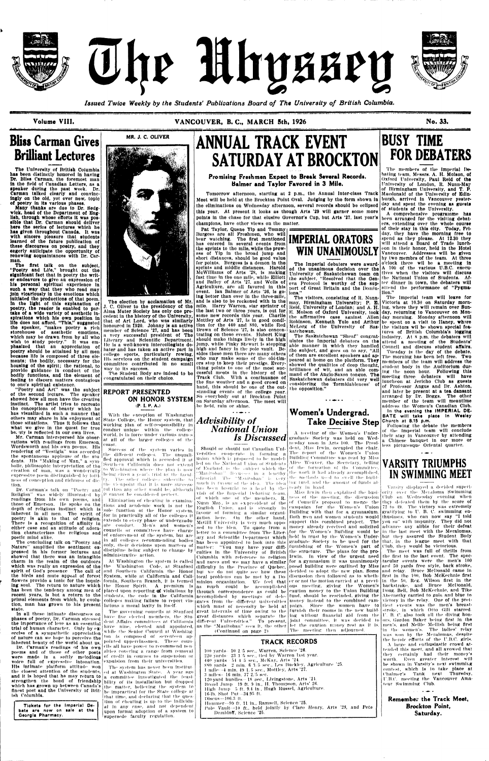



The Mhyssey

*Issued Twice Weekly by the Students' Publications Board of The University of British Columbia.* 

Volume VIII. No. 33. **VANCOUVER, B. C., MARCH 5th, 1926** No. 33.



# **Bliss Carman Gives Brilliant Lectures**

The University of British Columbia has been distinctly honored In having Dr. Bliss Carman, the foremost man In the Held of Canadian Letters, as a speaker during the past week. Dr. Carman talked clearly and convincingly on the old, yot over new, topic ot poetry In Ita various phases.

Many thanks are due to Dr. Sedgwick, head of the Department ot English, through whose efforts it was possible that Dr. Carman should deliver here the aeries of lectures which he haa given throughout Canada. It was with sincere pleasure that students learned ot the future publication or these discourses on poetry, and they eagerly anticipate the opportunity of renewing acquaintances with Dr. Carman.

Tbe flrst talk on the aubject, "Poetry and Life," brought out the significant tact that in poetry the writer endeavors to give an expression of his personal spiritual experience In such a way that they who read may join vicariously In the emotions which initiated tho productions ot that poem. In the light of this explanation of poetry, the reader Is enabled to partake ot a wide variety ot aesthetic inspirations which his own position in life does not afford. "This," suggested the speaker, "makes poetry a rich storehouse of aesthetic emotions, which may bo drawn from by all who wish to study poetry." It was emphasized that an appreciation of poetry should be attained by all men because life is composed of three elements; the bodily, nocessary for the housing of the spirit; the rational, to provide guidance In conduct of the bodily functions, and the element or feeling to discern matters contagious to one's spiritual exlstonce.

"Poetry and Art" was the subject of the second lecture. The speaker showed how all men have the creative instinct. The artist tries to recreate tho conceptions of beauty which he hus visualized In such n manner that those situations. Thus It follows that what we give in the quest for true be. uty Is reflected In our own lives.

Mr. Carman Interspersed his observations with readings from Emerson, Wordsworth and his own poems. His Wordsworth and Ills own poems. His rendering of "Vestigia" was accorded the spontaneous upplnuse of the students. Tils "Making of Man," a symbolic, philosophic interpretation of tho

The election by acclamation of Mr. J. C. Oliver to the presidency ot the Alma Mater Society has only one precedent In the history of tho University, that of Art Lord, who was similarly honoured In T920. Johnny Is an active member of Science '27, and has been a very successful president of The Literary and Scientific Department, He is a well-known intercollegiate debater and has taken an active part in college sports, particularly rowing. His services on the student campaign committee contributed In no small way to Its success.

The Student Body are indeed to be congratulated on their choice.

creation of mini, was a wonderfully expressive poem distinguished by loftiness of conception and richness of dic- $|^{t}y\rangle$ . The other colleges subscribe to tion.

nas visualized in such a manner that with the exception of Washington<br>others may share in his enjoyment of State College, the Honor system, that State College, the Honor system, that working plan of sell-responsibility In conduct unique within the college world, is in force under various names at all of the larger colleges of ihe coast.

Religion'' was widely Illustrated by it cannot be considered perfect. readings from his own poems, and Elimination of cheating in examinathose of Emerson. He spoke on the tions and academic work is not the depth of religious instinct which is sole function of the Honor system, inherent in all men. The spirit of for in practically all of the colleges it poetry is akin to that of religion. Even measured in order complex in the complex of undergradu-There is a recognition of affinity in either case and an attitude of adora-<br>tion characterizes the politicus and councils or committees have charge tion characterizes the religious and poetic mind alike.

The concluding talk on "Poetry and Nature" amplified the sentiment expressed In his former lectures and showed that there was an intangible charm In the realm of the outdoors spirit of God's presence The call of the birds and mute appeal of forest flowers provide a tonic for the Inquiring soul. The return to nature which recent years, is but a return to the primal elements from which, by evolution, man has grown to his present statu.

At Washington the system is called fornia. Soul hern Branch, it is termed fornia, Southern Branch, it is termed minion organization. We feel that<br>the Honor Spirit. A premium Is as much could be accomplished lations a moral laxity in Itself.

The governing councils at Stanford have live elected members, the Student Affairs committees nt California have nine, elected and appointed, while the Senior Council at Washington Is composed Of .seventeen appointed upperclassmen. These councils all have power to recommend Denof credit in courses to suspension or expulsion from their universities.

In all these Intimate discourses on phases of poetry, Dr. Carman stressed the Importance of love as an essential trial of human character. Only by exercise of a sympathetic appreciation of nature can we hope to perceive the Inherent beauty of Ihe world about us,

Dr. Carman's readings of his own poems and of those of other poets althes covering a range from removal were made. In a softly melodious voice full of expressive Intonation. Ills Intimate platform attitude won the closest attention of the students, and it is hoped that he may return to  $a$  committee. Investigated the feasifinest poet and the University of British Columbia.

MR. J. C. OLIVER



Pat Taylor, Quene Yip and Tommy Burgess are all Freshmen, who will bear watching, The first mentioned bear watching. The first mentioned **IMPERIAL UKAIUKS** the sprints to the mile, while the prowess of YIp in the broad jump and short distances, should be good value for points. Hurgess Is a demon In the sprints and middle distances. Harold McWIlllams of Arts '28, Is making fast time in the ono mile, while Elliott and Bailey of Arts \*27, and Wells of Agriculture, are all favored in this event. Ian Balmer of Arts '26, is going better than ever in the three-mile, and is also to be reckoned with tn the mile, Harry Warren, star sprinter of the last two or three years, Is out for some new records this year. Charlie Mottley of Arts '27, is in good condition for the 440 and S80, while Red Drown of Science '27, Is also concentrating on these events. Hubert King should make things lively in the high Jump, while Pinky Stewart Is stopping high and fancy in the polo vault. Besides theso men there are many othors who may make some of the old-timers step to koep their prestige. Everything points to one of the most successful meets in tho history of the Track Club. With a continuance of the line weather and a good crowd on hand, this should be one of the outstanding events of the college year. So everybody out. at Brockton Point on Saturday afternoon. The meet will be held, rain or shine.

**Tickets for the Imperial Debate are now on sale at the Georgia Pharmacy.** 

the viewpoint that it is more success-

## **REPORT PRESENTED ON HONOR SYSTEM**  IP I. P. A.)

The visitors, consisting of R. Nunnmay, Birmingham University; P. B. Reid, University of Londan; and A. H. K, Molson of Oxford University, took the affirmative case against Allen Koblnson, Kenneth Yule and Arthur McLorg of the University of Saskatchewan.

Success of the system varies in III" different colleges. The unqualified approval which Is accorded it al Southern California does not extend to Washington where the plan is now

strengthen the bond of friendship bility of its Installation but dropped which has grown up between Canada's the matter, believing the system to The system has never been instituted at Washington Slate. A year ago be Impractical for the Stale college at that time, and declaring that the question of cheating is up to the individual In any case, and not. dependent upon formal adoption of a system to supersede faculty regulation.

ate conduct. Men's and women's

br. Carman's talk on "Poetry and i<sup>t the</sup> finite any other would be, although has been brought to a head by the ready in hand.<br>Dr. Carman's talk on "Poetry and it than any other would be, although disk of the low side it b which was really an expression of the Washington Code, at Stanford difficulty in the Province of Quebec, posed building were outlined by Miss and 50 yards free style, back stroke, has been the tendency among men of placed upon reporting of violations by through correspondence as could be caution money to the Union Building and Southern California the Honor but we do not quite see how these decided to adopt the new plan. Some System, while at. California and Cali-local problems can be met by a Do-discussion then followed as to whethstudents, the code in the California accomplished by meetings of dele- fund, should be rescinded, giving the colleges making failure to report vio- gates from the different universities money instead to the combined camnuch in favour of the idea. The idea  $\lfloor \log(10 \mathrm{m}) \rfloor$  and the amount of funds al visit of the Imperial Dohaiing team, of which one of the members,  $\mathbf{R}$  | ness of the meeting, the discussion Nunn May, is an ex-president of the  $\vert$  of Council's proposal to merge the English Union, and is strongly In favour of forming a similar organization here. On the other hand, Both men and women students would thusiasis, who can now say "I told McGill University is very much oppo- support this combined project. The you so" with impunity. They did not sed to Ihe idea. To quote from a money already received and solicited letter to a committee from The Liter-for the Women's Building would be ary and Scientific Department which held In trust by the Women's Underhas been appointed to look into this graduate Society to be used for the matter: "Vou may have your diffi-furnishing of the Women's part of culties in the University of British the structure. The plans for the pro-Columbia with reference to religion Irwln. In view of the urgent need and races and we may have a similar for a gymnasium it was unanimously as much could be accomplished which must of necessity be held at paign. Since the women have to great intervals of time owing to the furnish their rooms In the new build great distances which separate the different Universities," To present, as the "Manltoban" sees il, the other (Continued on page 2>

being riven a year's trial by the facul. "Manitoban" discusses in a lengthy the work it had already accomplished, editorial. The "Manitoban" is  $\chi_{\rm P}$  the methods used to swell the build

of enforcement of the system, bui are in all colleges recommending bodies only, their decisions upon matters of discipline being subject to change by administrative action.

> 100 yards - 10 2/5 sec., Warren, Science '26, 220 yards - 23–3/5 sec., tied by Warren last year. 440 yards 5-1 4 a sec:., McKay, Arts '24. SSO vards 2 min. 6 3/5 sec., Les Buckley, Agriculture '25. 1 mile -4 min. 40 1, f> sec , Mottley, Arts '27.  $3$  miles-  $46$  min.  $37$   $2/5$  sec. 120-yard hurdles $-18$  see.. Livingstone, Arts '24. Broad Jump 19 ft. 9 in., H. Thompson, Arts' 26. High Jump 5 ft. 0.4 in, Hugh ltussel, Agriculture, 16-lb. Shot Put--34.95 ft. Discus--106.3 ft. Hummer—09 ft. 11 in., Ramsell, Science '25. Pole Vault--10 ft., held jointly by Clare Henry, Arts '28, and Pete Demidoff, Science '25.

# **ANNUAL TRACK EVENT SATURDAY AT BROCKTON**

# **Promising Freshmen Expect to Break Several Records. Balmer and Taylor Favored in 3 Mile.**

Tomorrow afternoon, starting at 2 p.m., the Annual lnter-class Track Meet will be held at the Brockton Point Oval. Judging by the form shown in the eliminations on Wednesday afternoon, several records should be ecllpsod this year. At present It looks as though Arts '29 will garner some more points in the chase for that elusive Governor's Cup, but Arts '27, last year's champions, have other views on the mutter,

> Tuesday is the day of the debate. The morning has been left free. Two members of the team will address the student body In the Auditorium during the noon hour. Following this meeting three debaters will have luncheon at Jericho Club as guests of Professor Angus and Dr. Ashton, and later be present at a tea dansant arranged by Dr. Boggs. The other member of the team will meantime address the Women's Canadian Club. **In the evening the IMPERIAL DE-BATE will take place In Wesley Church at 8.15 p.m.**

# *Advisibility of National Union Is Discussed*

Should or should not Canadian Universities co-operate in forming a union which is proposed In lie modelled on the Nationa l Union ol Students of England, is the subject which the

# **WIN UNANIMOUSLY**

The Imperial debaters were awarded the unanimous decision over the University of Saskatchewan team on the subject, "Resolved that the Geneva Protocol Is worthy ot the support of Great Britain and the Dominions."

The Saskatchewan "Sheaf" congratulates the Imporlal debaters on the able manner In which they handled able manner in which they handled Council and discuss student **affairs.**<br>the subject, and goes on to say, "All | Tuesday is the day of the debate. of them are excellent speakers and appeared at home on the platform. They showed the qualities of deep thought, brilliance of wit, and an able command of the Anglo-Saxon tongue. The Saskatchewan debaters did vory well considering the 'formldableness' of the opposition."

# **Women's Undergrad. Take Decisive Step**

A meeting of the Women's Undergraduate Society was held on Wednesday noon In Arts K'IO. The President, Miss Irwin, occupied the chair. The report of the Women's Union Building Committee was read by Miss Alice Weaver, the Secretary, telling ol the formation ol tin ('oinniil lee,

Miss Irwin ihen explained Ihe busicampaign for the Women's Union Building with that for a gymnasium. er or not the motion carried at a previous meeting, giving the Women's ing without financial aid from ihe joint committee, ll was decided lo let Ihe caution money rest as It Is. The meeting Ihen adjourned.

### **TRACK RECORDS**

# **BUSY TIME FOR DEBATERS**

The members of the Imperial Debating team, Messrs. A. H. Molson, ot Oxford University, Paul Reid of the University of London, R. Nunn-May of Birmingham University, and T. P. Macdonald of the University of Edinburgh, arrived In Vancouver yesterday and spent tho evening as guests of students of the University.

A comprehensive programme has been arranged for the visiting debaters, extending over the whole course of their stay in this city. Today, Friday, they have the morning free to spend as they please. At 12.30 they will attend a Board of Trade luncheon In their honor, held In the Hotel Vancouver, Addresses will be given by two membrs of the team. At three o'clock there wtl be a meeting In A 100 of the various U.B.C. executives when the visitors will discuss the National Union of Students. After dinner In town, the debaters will attend tbe performance of "Pygmalion."

The Imperial team will leave for Victoria at 10.30 on Saturday morning, where they will remain over Sunday, returning to Vancouver on Monday morning. Monday afternoon will be spent on a visit to Haney, whore the visitors wil be shown special feathe visitors will be shown special fea-<br>tures of British Columbia's logging Industry. At S p.m. the debaters will attend a meeting of the Students'

Following the debate the members of the Imperial team will conclude their stay in Vancouver by attending a Chinese banquet in our more or less picturesque Oriental quarter.



 $\cdot$   $\cdot$   $\cdot$ 

# **IN SWIMMING MEET**

Varsity displayed a decided superiority over the Meraloma Swimming Club on Wednesday evening when they defeated them by the score of 72 to 49. The victory was extremely gratifying to U. B. C. swimming enadvance any alibis for their defeat in the last meet with the Meralomas, but they assured the Student Body that, in the league meet with that Club, they would be victorious.

The meet was full of thrills from the first to the last event. The spectacular events were the men's 100 and relay. Bruce McDonald came In  $\frac{1}{10}$  first in the 100, Bob McKechnie first in the 50, Reg. Wilson first in the backstroke, and Bruce McDonald, Doug. Bell, Bob McKechnie, and Tike Abernethy carried to gold and blue to victory In the relay. One of the prettiest events was the men's breaststroke, in which Otto Gill starred. U B. C. also took all the diving honors, Cordon Baker being flrst in the men's, and Nellie Melllsh being first

in the women's. The ladles' relay was won by the Meralomas, despite the heroic efforts of the U.B.C. girls. A large and enthusiastic crowd attended this meet, and all avowed that they certainly had their money's worth. Kven greater Interest will be shown In Varsity's next swimming contest, which Is to take place at Chalmer's Tank next Thursday, U.B.C. meeting the Vancouver Amateur Swimming Club.

Remember the Track Meet, Brockton Point, Saturday.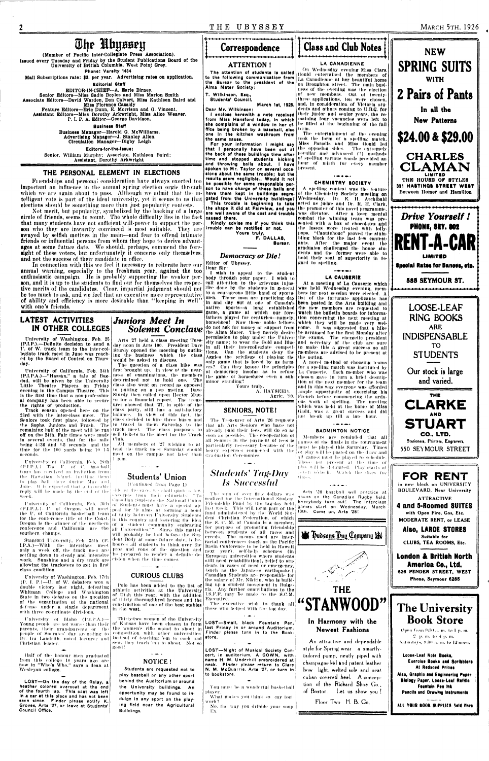**MARCH 5TH, 1926** 

 $\boldsymbol{2}$ 

The Huyssey (Member of Pacific Inter-Collegiate Press Association). Issued every Tuesday and Friday by the Student Publications Board of the University of British Columbia, West Point Grey. Phone: Varsity 1434

Mail Subscriptions rate: \$3. per year. Advertising rates on application.

**Editorial Staff** 

EDITOR-IN-CHIEF-A. Earle Birney. Senior Editors-Miss Sadie Boyles and Miss Marion Smith Associate Editors-David Warden, Don Calvert, Miss Kathleen Baird and

Miss Florence Cassidy<br>Miss Florence Cassidy<br>Feature Editors---Eric Dunn, E. Morrison and G. Vincent.<br>Assistant Editors----Miss Dorothy Arkwright, Miss Alice Weaver.<br>P. I. P. A. Editor---George Davidson.

**Business Staff** Business Manager-Harold G. McWilliams. Advertising Manager-J. Stanley Allen.<br>Circulation Manager--Digby Leigh

Editors-for-the-lasue:

Senior, William Murphy; Associate, Kathleen Baird; Assistant, Dorothy Arkwright

# THE PERSONAL ELEMENT IN ELECTIONS

Friendships and personal consideration have always exerted too important an influence in the annual spring election orgic through son to have charge of these balls and which we are again about to pass. Although we admit that the in- have them kept in buildings segretelligent vote is part of the ideal university, yet it seems to us that gated from the University buildings? elections should be something more than just popularity contests.

Not merit, but popularity, symbolized by the backing of a large circle of friends, seems to count. The whole difficulty lies in the fact that many students have not sufficient will-power to support the person who they are inwardly convinced is most suitable. They are swayed by selfish motives in the main---and fear to offend intimate friends or influential persons from whom they hope to derive advantages at some future date. We should, perhaps, commend the foresight of these voters, but unfortunately it concerns only themselves. and not the success of their candidate in office.

In connection with this we feel it necessary to reiterate here our annual warning, especially to the freshman year, against the too enthusiastic campaign. He is probably supporting the weaker person, and it is up to the students to find out for themselves the respective merits of the candidates. Clear, impartial judgment should not be too much to ask, and we feel that an executive more representative of ability and efficiency is more desirable than "keeping in well" with one's friends.

### **Juniors Meet In LATEST ACTIVITIES** IN OTHER COLLEGES

University of Washington, Feb. 25 (P.I.P.).--Definite decision to send a U. of W. track team to the inter-collegiate track meet in June was reached by the Board of Control on Thursday.

Little Theatre Players on Friday evening in the Campus Theatre. This is the first time that a non-professional company has been able to secure the rights of production.

Track season opened here on the 23rd with the inter-class meet. The Seniors took first place, followed by class decided to hire three buses and the Sophs, Juniors and Frosh. The to travel in them Saturday to the remaining half of the meet will be run | track meet. The class purposes to off on the 24th. Fair times were made sell tickets to the meet for the Track in several events, that for the mile Club.<br>being 4:36 and 4-5 seconds, and the All time for the 100 yards being 10 1.5 tend the track meet Saturday should seconds

 $1$  p.m. University of California, Feb. 28th<br>(P.L.P.A.) The U. of C. baseball team has needved an invitation from the Hawalian Islands inviting them. to play ball there during May and June. It is expected that a favorable reply will be made by the end of the week.

Arts '27 held a class meeting Tuesday noon in Arts 100. President Dave Sturdy opened the meeting by outlining the business which the class would be asked to discuss.

**Solemn Conclave** 

The question of a class hike was University of California, Feb. 24th first brought up. In view of the near-<br>(P.I.P.A.)—"Hassan," a tale of Bag- ness of examinations, the members dad, will be given by the University determined not to hold one. The class also went on record as opposed to putting on a pep meting. Dave Sturdy then called upon Hector Munro for a financial report. The treasurer showed that '27, in spite of the class party, still has a satisfactory balance. In view of this fact, the

> All members of '27 wishing to at meet on the campus not later than

# Correspondence

### **ATTENTION!**

The attention of students is called to the following communication from<br>the Bursar to the president of the<br>Alma Mater Society:

T. Wilkinson, Esq., Students' Council.

March 1st, 1926. Dear Mr. Wilkinson: I enclose herewith a note received from Miss Hansford today, in which she complains of a window in her of. term. ffice being broken by a baseball, also one in the kitchen washroom from the same cause.

For your information I might say that I personally have been out at the back of these buildings time after time and stopped students kicking and throwing balls about. I have<br>spoken to Mr. Taylor on several occapresent. sions about the same trouble; but the results seem negligible... Would it not be possible for some responsible per-

This trouble is beginning to take the shape it did at Fairview, and you are well aware of the cost and trouble caused there.

Kindly advise me if you think this trouble can be rectified or not. Yours truly,

F. DALLA8, Bursar.

gard to spelling.

the outing.

I wish to appeal to the student body through your paper. I wish to call attention to the grievous inlustice done by the students in general to a courageous little band of sportsmen. These men are practicing day In and day out at one of Canada's native sports-a long established game, a game at which our forefathers played for centuries--namely, horsehbes! Now these noble fellows do not ask for money or support from the Alma Mater. They merely desire permission to play under the University name; to wear the Gold and Blue in all their intercollegiate competitions. Can the students deny the Aggles the privilege of playing the only game that is loved by us farm-Can they ignore the principles ers? of democracy Insofar as to refuse the game of horseshoes even a sub minor standing?

Yours truly.

### A. HAYSEED, Agric. '99.

# **SENIORS, NOTE!**

The Treasurer of Arts '26 requests that all Arts Seniors who have not already paid their fees, will do so as soon as possible. The co-operation of all Seniors in the payment of fees is particularly necessary because of the heavy expenses connected with the Graduation Ceremonies.



Our stock is large and varied.



**Democracy or Die!** Editor of Ubyssey. Dear Sir:

University of California, Feb. 25th southern champs.

Stanford University, Feb. 25th (P I.P.A.)--With the interclass meet only a week off, the track men are pros and cons of the question and settling down to steady and intensive be prepared to render a definite dework. Sunshine and a dry track are cision when the time comes. allowing the tracksters to get in first class condition.

University of Washington, Feb. 17th  $(P, I, P)$ -U. of W. debaters won a double victory last night, defeating Whitman College and Washington State in two debates on the question of thirty thoroughbred horses and the of Utah this year, with the addition of the organization of the national construction of one of the best stables defense under a single department with three co-ordinate divisions.

University of Idaho (P.L.P.A.)-Young people are not worse than their parents, their grandparents or the people of Socrates' day according to Dr. Ira Landrith, noted lecturer and Instead of teaching 'em to cook and Christian leader.

Half of the honour men graduated from this college 10 years ago are now in "Who's Who," says a dean at Wesleyan college.

LOST-On the day of the Relay, a heather colored overcoat at the end of the fourth lap. This coat was left In a car at this place and has not been seen since. Finder please notify K. Groves, Arts '27, or leave at Students'<br>Council Office.

# **Students' Union** (Continued from Page 1)

side of the case, we shall quote a few everpts from their editorials: "To Canadian Students the National Union of Students must have a special ap-(P.I.P.A.) ... U. of Oregon will meet peal for 'it aims at forming a bond the U. of California basketball team of unity between University Students for the conference title of the Coast. in this country and fostering the idea Oregon is the winner of the northern of a student community embracing conference and California are the all Universities.'" Since this matter will probably be laid before the Student Body at some future date, it behooves all students to think over the

**CURIOUS CLUBS** 

Polo has been added to the list of

athletic activities at the University

 $\sim$  and  $\sim$ 

NOTICE!

play baseball or any other sport

behind the Auditorium or around

the University buildings. An

opportunity may be found to in-

duige in any sport on the play-

ing field near the Agricultural

Students are requested not to

in the west.

Buildings.

good!

# **Students' Tag-Day Is Successful**

The sum of over fifty dollars was realized for the International Student Friendship Fund by the tag-day held last week. This will form part of the fund administered by the World Student Christian Federation, of which the S. C. M. of Canada is a member, for purpose of promoting friendship between students of all races and creeds. The means used are interracial conferences (such as the Pacific Basin Conference to be held in Hawali next year), self-help schemes (in European universities where students still need rehabilitation), relief to students in cases of need or emergency, (such as the Japanese earthquake.) Canadian Students are responsible for the salary of Mr. Nikitin, who is building up a student movement in Bulga ria. Any further contributions to the LS.F.F. may be made to the S.C.M.

Executive. The executive wish to thank all those who helped with the tag day.

Thirty-two women of the University LOST-Small, black Fountain Pen, of Kansas have been chosen to form last Friday in or around Auditorium. the women's rifle squad to shoot in Finder please turn in to the Bookcompetition with other universities. store. sew, they teach 'em to shoot. Not so

> LOST--Night of Musical Society Concert, in auditorium, A GOWN, with name H. M. Underhill embroidered at neck. Finder please return to Clare N. M. McQuarrie, Arte '27, or turn in to bookstore.

You must be a wonderful basketball player.

What makes you think so my foot work?

No, the way you dribble your soup. Ex.

play will be detauited. Play starts at  $(3 \times 0.5)$  for k. Watch the draw for times.

La Causerie. Each member who was

chosen gave in turn a brief descrip-

tion of the next member for the team

and in this way everyone was afforded

ample opportunity of exercising his

French before commencing the ardu-

ous work of spelling. The meeting

which was held at the home of Miss

Gadd, was a great success and did

not break up till a late hour.

 $\overline{1}$ 

**BADMINTON NOTICE** 

rames of the finals in the tournament

must be played this Saturday. Times

ot play will be posted on the draw and

all games must be played to schedule.

Those not present at the time of

Members are reminded that all

Arts '28 baseball will practice at noons on the Canadian Rugby field. Everybody turn out! The interclass games start on Wednesday, March 10th. Come on, Arts '28!



bow light, welted sole and neat

cuban covered heel. A concep-

tion of the Rickard Shoe Co.,

of Boston. Let us show you!

Floor Two H. B. Co.

FOR RENT in new block on UNIVERSITY **BOULEVARD, Near University ATTRACTIVE** 4 and 5-Roomed SUITES with Open Fire, Gas, Etc. **MODERATE RENT, or LEASE** Also, LARGE STORES Suitable for CLUBS, TEA ROOMS, Etc. **London & British North** America Co., Ltd. 626 PENDER STREET, WEST Phone, Seymour 6285 The University **Book Store** Open from 9:30 a. m. to I p. m.  $2 - p$ , m, to  $4 - p$ , m, Saturdays, 9:30 a. m. to 12 noon. Loose-Leaf Note Books, **Exercise Books and Scribblers** At Reduced Prices Also, Graphic and Engineering Paper **Biology Paper, Loose-Leaf Refilia** Fountain Pen Ink Pencils and Drawing Instruments

 $\begin{array}{l} \begin{array}{c} \begin{array}{c} \begin{array}{c} \end{array} \\ \end{array} \end{array} \end{array}$ ALL YOUR BOOK SUPPLIES Sold Here